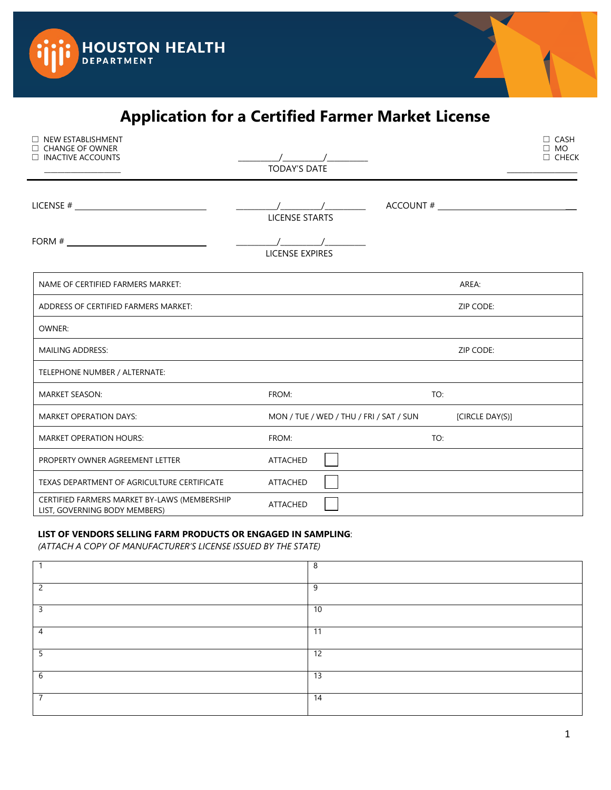



## **Application for a Certified Farmer Market License**

| <b>NEW ESTABLISHMENT</b><br>$\Box$ CHANGE OF OWNER<br>$\Box$ INACTIVE ACCOUNTS | <b>TODAY'S DATE</b>           | $\sqrt{2}$ |                                         |                 | $\Box$ CASH<br>$\Box$ MO<br>$\Box$ CHECK |
|--------------------------------------------------------------------------------|-------------------------------|------------|-----------------------------------------|-----------------|------------------------------------------|
|                                                                                | <b>LICENSE STARTS</b>         |            |                                         | ACCOUNT #       |                                          |
|                                                                                | $\sqrt{2}$<br>LICENSE EXPIRES |            |                                         |                 |                                          |
| NAME OF CERTIFIED FARMERS MARKET:                                              |                               |            |                                         | AREA:           |                                          |
| ADDRESS OF CERTIFIED FARMERS MARKET:                                           |                               |            |                                         | ZIP CODE:       |                                          |
| OWNER:                                                                         |                               |            |                                         |                 |                                          |
| <b>MAILING ADDRESS:</b>                                                        |                               |            |                                         | ZIP CODE:       |                                          |
| TELEPHONE NUMBER / ALTERNATE:                                                  |                               |            |                                         |                 |                                          |
| <b>MARKET SEASON:</b>                                                          | FROM:                         |            | TO:                                     |                 |                                          |
| <b>MARKET OPERATION DAYS:</b>                                                  |                               |            | MON / TUE / WED / THU / FRI / SAT / SUN | [CIRCLE DAY(S)] |                                          |
| <b>MARKET OPERATION HOURS:</b>                                                 | FROM:                         |            | TO:                                     |                 |                                          |
| PROPERTY OWNER AGREEMENT LETTER                                                | ATTACHED                      |            |                                         |                 |                                          |
| TEXAS DEPARTMENT OF AGRICULTURE CERTIFICATE                                    | ATTACHED                      |            |                                         |                 |                                          |
| CERTIFIED FARMERS MARKET BY-LAWS (MEMBERSHIP<br>LIST, GOVERNING BODY MEMBERS)  | ATTACHED                      |            |                                         |                 |                                          |

## **LIST OF VENDORS SELLING FARM PRODUCTS OR ENGAGED IN SAMPLING**:

*(ATTACH A COPY OF MANUFACTURER'S LICENSE ISSUED BY THE STATE)*

|                          | 8  |
|--------------------------|----|
| $\overline{\phantom{0}}$ | 9  |
| 3                        | 10 |
| $\overline{4}$           | 11 |
| 5                        | 12 |
| b                        | 13 |
|                          | 14 |